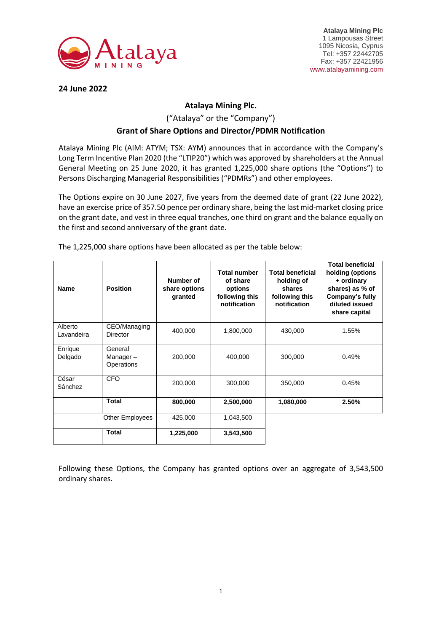

**Atalaya Mining Plc** 1 Lampousas Street 1095 Nicosia, Cyprus Tel: +357 22442705 Fax: +357 22421956 www.atalayamining.com

**24 June 2022**

## **Atalaya Mining Plc.**

## ("Atalaya" or the "Company") **Grant of Share Options and Director/PDMR Notification**

Atalaya Mining Plc (AIM: ATYM; TSX: AYM) announces that in accordance with the Company's Long Term Incentive Plan 2020 (the "LTIP20") which was approved by shareholders at the Annual General Meeting on 25 June 2020, it has granted 1,225,000 share options (the "Options") to Persons Discharging Managerial Responsibilities ("PDMRs") and other employees.

The Options expire on 30 June 2027, five years from the deemed date of grant (22 June 2022), have an exercise price of 357.50 pence per ordinary share, being the last mid-market closing price on the grant date, and vest in three equal tranches, one third on grant and the balance equally on the first and second anniversary of the grant date.

| <b>Name</b>           | <b>Position</b>                   | Number of<br>share options<br>granted | <b>Total number</b><br>of share<br>options<br>following this<br>notification | <b>Total beneficial</b><br>holding of<br>shares<br>following this<br>notification | <b>Total beneficial</b><br>holding (options<br>+ ordinary<br>shares) as % of<br>Company's fully<br>diluted issued<br>share capital |
|-----------------------|-----------------------------------|---------------------------------------|------------------------------------------------------------------------------|-----------------------------------------------------------------------------------|------------------------------------------------------------------------------------------------------------------------------------|
| Alberto<br>Lavandeira | CEO/Managing<br><b>Director</b>   | 400,000                               | 1,800,000                                                                    | 430,000                                                                           | 1.55%                                                                                                                              |
| Enrique<br>Delgado    | General<br>Manager-<br>Operations | 200,000                               | 400,000                                                                      | 300,000                                                                           | 0.49%                                                                                                                              |
| César<br>Sánchez      | <b>CFO</b>                        | 200,000                               | 300,000                                                                      | 350,000                                                                           | 0.45%                                                                                                                              |
|                       | <b>Total</b>                      | 800,000                               | 2,500,000                                                                    | 1,080,000                                                                         | 2.50%                                                                                                                              |
|                       | Other Employees                   | 425,000                               | 1,043,500                                                                    |                                                                                   |                                                                                                                                    |
|                       | <b>Total</b>                      | 1,225,000                             | 3,543,500                                                                    |                                                                                   |                                                                                                                                    |

The 1,225,000 share options have been allocated as per the table below:

Following these Options, the Company has granted options over an aggregate of 3,543,500 ordinary shares.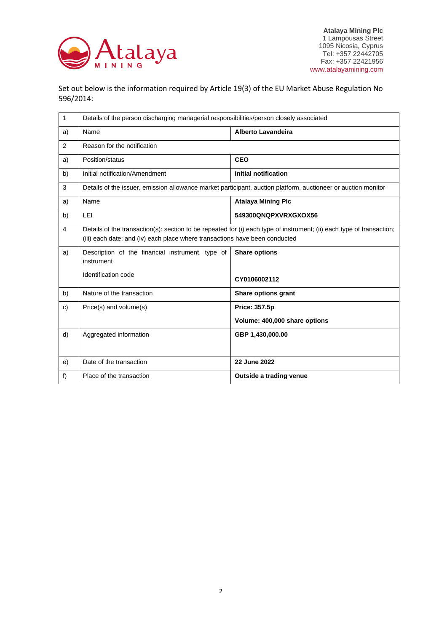

Set out below is the information required by Article 19(3) of the EU Market Abuse Regulation No 596/2014:

| 1  | Details of the person discharging managerial responsibilities/person closely associated                                                                                                              |                               |  |  |
|----|------------------------------------------------------------------------------------------------------------------------------------------------------------------------------------------------------|-------------------------------|--|--|
| a) | Name                                                                                                                                                                                                 | <b>Alberto Lavandeira</b>     |  |  |
| 2  | Reason for the notification                                                                                                                                                                          |                               |  |  |
| a) | Position/status                                                                                                                                                                                      | <b>CEO</b>                    |  |  |
| b) | Initial notification/Amendment                                                                                                                                                                       | <b>Initial notification</b>   |  |  |
| 3  | Details of the issuer, emission allowance market participant, auction platform, auctioneer or auction monitor                                                                                        |                               |  |  |
| a) | Name                                                                                                                                                                                                 | <b>Atalaya Mining Plc</b>     |  |  |
| b) | LEI                                                                                                                                                                                                  | 549300QNQPXVRXGXOX56          |  |  |
| 4  | Details of the transaction(s): section to be repeated for (i) each type of instrument; (ii) each type of transaction;<br>(iii) each date; and (iv) each place where transactions have been conducted |                               |  |  |
| a) | Description of the financial instrument, type of<br>instrument                                                                                                                                       | <b>Share options</b>          |  |  |
|    | Identification code                                                                                                                                                                                  | CY0106002112                  |  |  |
| b) | Nature of the transaction                                                                                                                                                                            | Share options grant           |  |  |
| c) | Price(s) and volume(s)                                                                                                                                                                               | <b>Price: 357.5p</b>          |  |  |
|    |                                                                                                                                                                                                      | Volume: 400,000 share options |  |  |
| d) | Aggregated information                                                                                                                                                                               | GBP 1,430,000.00              |  |  |
|    |                                                                                                                                                                                                      |                               |  |  |
| e) | Date of the transaction                                                                                                                                                                              | 22 June 2022                  |  |  |
| f) | Place of the transaction                                                                                                                                                                             | Outside a trading venue       |  |  |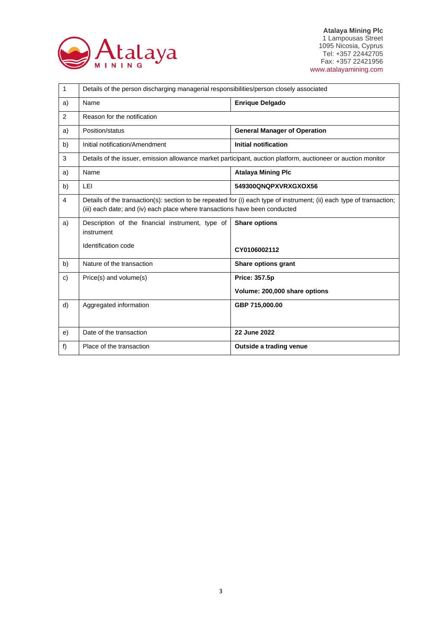

**Atalaya Mining Plc** 1 Lampousas Street 1095 Nicosia, Cyprus Tel: +357 22442705 Fax: +357 22421956 www.atalayamining.com

| 1              | Details of the person discharging managerial responsibilities/person closely associated                                                                                                              |                                     |  |
|----------------|------------------------------------------------------------------------------------------------------------------------------------------------------------------------------------------------------|-------------------------------------|--|
| a)             | Name                                                                                                                                                                                                 | <b>Enrique Delgado</b>              |  |
| $\overline{2}$ | Reason for the notification                                                                                                                                                                          |                                     |  |
| a)             | Position/status                                                                                                                                                                                      | <b>General Manager of Operation</b> |  |
| b)             | Initial notification/Amendment                                                                                                                                                                       | <b>Initial notification</b>         |  |
| 3              | Details of the issuer, emission allowance market participant, auction platform, auctioneer or auction monitor                                                                                        |                                     |  |
| a)             | Name                                                                                                                                                                                                 | <b>Atalaya Mining Plc</b>           |  |
| b)             | LEI                                                                                                                                                                                                  | 549300QNQPXVRXGXOX56                |  |
| 4              | Details of the transaction(s): section to be repeated for (i) each type of instrument; (ii) each type of transaction;<br>(iii) each date; and (iv) each place where transactions have been conducted |                                     |  |
| a)             | Description of the financial instrument, type of<br>instrument                                                                                                                                       | <b>Share options</b>                |  |
|                | Identification code                                                                                                                                                                                  | CY0106002112                        |  |
| b)             | Nature of the transaction                                                                                                                                                                            | Share options grant                 |  |
| c)             | Price(s) and volume(s)                                                                                                                                                                               | <b>Price: 357.5p</b>                |  |
|                |                                                                                                                                                                                                      | Volume: 200,000 share options       |  |
| d)             | Aggregated information                                                                                                                                                                               | GBP 715,000.00                      |  |
|                |                                                                                                                                                                                                      |                                     |  |
| e)             | Date of the transaction                                                                                                                                                                              | 22 June 2022                        |  |
| f)             | Place of the transaction                                                                                                                                                                             | Outside a trading venue             |  |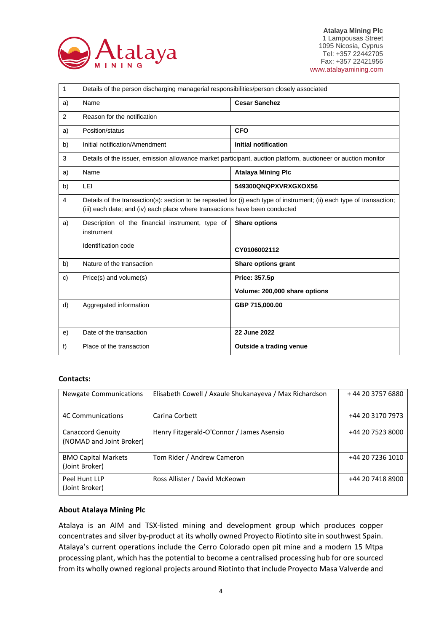

| 1  | Details of the person discharging managerial responsibilities/person closely associated                                                                                                              |                               |  |
|----|------------------------------------------------------------------------------------------------------------------------------------------------------------------------------------------------------|-------------------------------|--|
| a) | Name                                                                                                                                                                                                 | <b>Cesar Sanchez</b>          |  |
| 2  | Reason for the notification                                                                                                                                                                          |                               |  |
| a) | Position/status                                                                                                                                                                                      | <b>CFO</b>                    |  |
| b) | Initial notification/Amendment                                                                                                                                                                       | <b>Initial notification</b>   |  |
| 3  | Details of the issuer, emission allowance market participant, auction platform, auctioneer or auction monitor                                                                                        |                               |  |
| a) | Name                                                                                                                                                                                                 | <b>Atalaya Mining Plc</b>     |  |
| b) | LEI                                                                                                                                                                                                  | 549300QNQPXVRXGXOX56          |  |
| 4  | Details of the transaction(s): section to be repeated for (i) each type of instrument; (ii) each type of transaction;<br>(iii) each date; and (iv) each place where transactions have been conducted |                               |  |
| a) | Description of the financial instrument, type of<br>instrument                                                                                                                                       | <b>Share options</b>          |  |
|    | Identification code                                                                                                                                                                                  | CY0106002112                  |  |
| b) | Nature of the transaction                                                                                                                                                                            | Share options grant           |  |
| c) | Price(s) and volume(s)                                                                                                                                                                               | <b>Price: 357.5p</b>          |  |
|    |                                                                                                                                                                                                      | Volume: 200,000 share options |  |
| d) | Aggregated information                                                                                                                                                                               | GBP 715,000.00                |  |
|    |                                                                                                                                                                                                      |                               |  |
| e) | Date of the transaction                                                                                                                                                                              | 22 June 2022                  |  |
| f) | Place of the transaction                                                                                                                                                                             | Outside a trading venue       |  |

## **Contacts:**

| <b>Newgate Communications</b>                        | Elisabeth Cowell / Axaule Shukanayeva / Max Richardson | +44 20 3757 6880 |
|------------------------------------------------------|--------------------------------------------------------|------------------|
| <b>4C Communications</b>                             | Carina Corbett                                         | +44 20 3170 7973 |
| <b>Canaccord Genuity</b><br>(NOMAD and Joint Broker) | Henry Fitzgerald-O'Connor / James Asensio              | +44 20 7523 8000 |
| <b>BMO Capital Markets</b><br>(Joint Broker)         | Tom Rider / Andrew Cameron                             | +44 20 7236 1010 |
| Peel Hunt LLP<br>(Joint Broker)                      | Ross Allister / David McKeown                          | +44 20 7418 8900 |

## **About Atalaya Mining Plc**

Atalaya is an AIM and TSX-listed mining and development group which produces copper concentrates and silver by-product at its wholly owned Proyecto Riotinto site in southwest Spain. Atalaya's current operations include the Cerro Colorado open pit mine and a modern 15 Mtpa processing plant, which has the potential to become a centralised processing hub for ore sourced from its wholly owned regional projects around Riotinto that include Proyecto Masa Valverde and